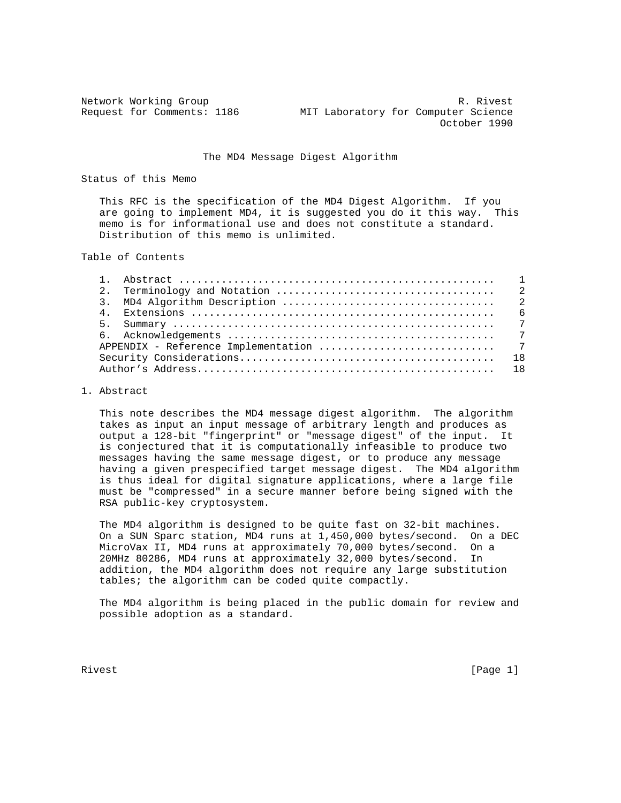Network Working Group **R. Rivest** R. Rivest Request for Comments: 1186 MIT Laboratory for Computer Science October 1990

## The MD4 Message Digest Algorithm

Status of this Memo

 This RFC is the specification of the MD4 Digest Algorithm. If you are going to implement MD4, it is suggested you do it this way. This memo is for informational use and does not constitute a standard. Distribution of this memo is unlimited.

Table of Contents

## 1. Abstract

 This note describes the MD4 message digest algorithm. The algorithm takes as input an input message of arbitrary length and produces as output a 128-bit "fingerprint" or "message digest" of the input. It is conjectured that it is computationally infeasible to produce two messages having the same message digest, or to produce any message having a given prespecified target message digest. The MD4 algorithm is thus ideal for digital signature applications, where a large file must be "compressed" in a secure manner before being signed with the RSA public-key cryptosystem.

 The MD4 algorithm is designed to be quite fast on 32-bit machines. On a SUN Sparc station, MD4 runs at 1,450,000 bytes/second. On a DEC MicroVax II, MD4 runs at approximately 70,000 bytes/second. On a 20MHz 80286, MD4 runs at approximately 32,000 bytes/second. In addition, the MD4 algorithm does not require any large substitution tables; the algorithm can be coded quite compactly.

 The MD4 algorithm is being placed in the public domain for review and possible adoption as a standard.

Rivest [Page 1]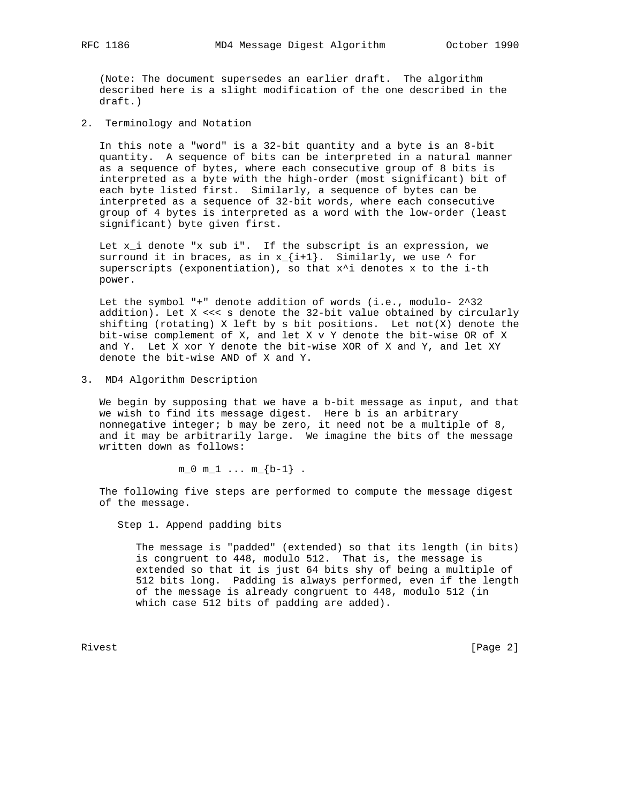(Note: The document supersedes an earlier draft. The algorithm described here is a slight modification of the one described in the

2. Terminology and Notation

 In this note a "word" is a 32-bit quantity and a byte is an 8-bit quantity. A sequence of bits can be interpreted in a natural manner as a sequence of bytes, where each consecutive group of 8 bits is interpreted as a byte with the high-order (most significant) bit of each byte listed first. Similarly, a sequence of bytes can be interpreted as a sequence of 32-bit words, where each consecutive group of 4 bytes is interpreted as a word with the low-order (least significant) byte given first.

 Let x\_i denote "x sub i". If the subscript is an expression, we surround it in braces, as in  $x_{i+1}$ . Similarly, we use  $\wedge$  for superscripts (exponentiation), so that  $x^i$  denotes x to the i-th power.

 Let the symbol "+" denote addition of words (i.e., modulo- 2^32 addition). Let X <<< s denote the 32-bit value obtained by circularly shifting (rotating) X left by s bit positions. Let not(X) denote the bit-wise complement of X, and let X v Y denote the bit-wise OR of X and Y. Let X xor Y denote the bit-wise XOR of X and Y, and let XY denote the bit-wise AND of X and Y.

3. MD4 Algorithm Description

 We begin by supposing that we have a b-bit message as input, and that we wish to find its message digest. Here b is an arbitrary nonnegative integer; b may be zero, it need not be a multiple of 8, and it may be arbitrarily large. We imagine the bits of the message written down as follows:

 $m_0 m_1 \ldots m_{b-1}$ .

 The following five steps are performed to compute the message digest of the message.

Step 1. Append padding bits

 The message is "padded" (extended) so that its length (in bits) is congruent to 448, modulo 512. That is, the message is extended so that it is just 64 bits shy of being a multiple of 512 bits long. Padding is always performed, even if the length of the message is already congruent to 448, modulo 512 (in which case 512 bits of padding are added).

Rivest [Page 2]

draft.)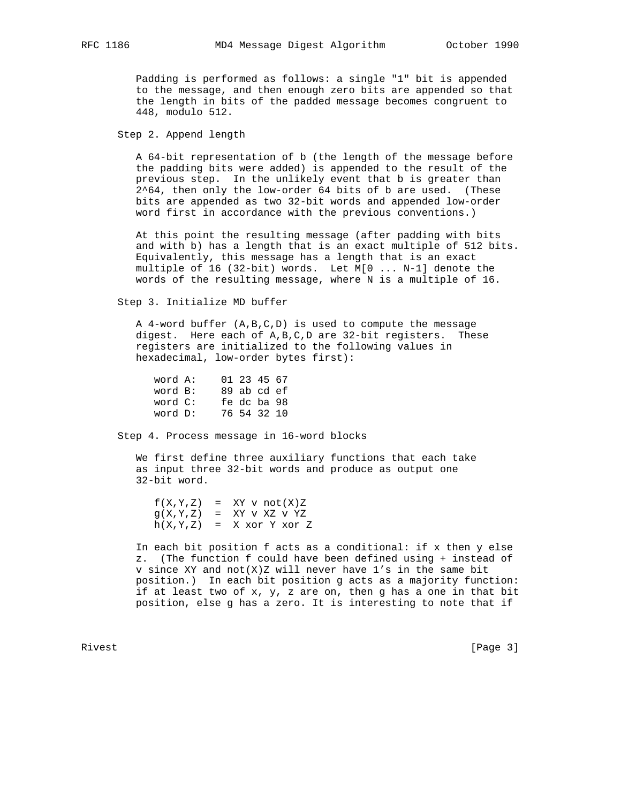Padding is performed as follows: a single "1" bit is appended to the message, and then enough zero bits are appended so that the length in bits of the padded message becomes congruent to 448, modulo 512.

Step 2. Append length

 A 64-bit representation of b (the length of the message before the padding bits were added) is appended to the result of the previous step. In the unlikely event that b is greater than 2^64, then only the low-order 64 bits of b are used. (These bits are appended as two 32-bit words and appended low-order word first in accordance with the previous conventions.)

 At this point the resulting message (after padding with bits and with b) has a length that is an exact multiple of 512 bits. Equivalently, this message has a length that is an exact multiple of 16 (32-bit) words. Let M[0 ... N-1] denote the words of the resulting message, where N is a multiple of 16.

Step 3. Initialize MD buffer

 A 4-word buffer (A,B,C,D) is used to compute the message digest. Here each of A,B,C,D are 32-bit registers. These registers are initialized to the following values in hexadecimal, low-order bytes first):

 word A: 01 23 45 67 word B: 89 ab cd ef word C: fe dc ba 98 word D: 76 54 32 10

Step 4. Process message in 16-word blocks

 We first define three auxiliary functions that each take as input three 32-bit words and produce as output one 32-bit word.

 $f(X,Y,Z)$  = XY v not $(X)Z$  $g(X,Y,Z)$  = XY v XZ v YZ  $h(X,Y,Z) = X x 0 Y Y x 0 Y Z$ 

> In each bit position f acts as a conditional: if x then y else z. (The function f could have been defined using + instead of v since XY and not  $(X)Z$  will never have  $1's$  in the same bit position.) In each bit position g acts as a majority function: if at least two of x, y, z are on, then g has a one in that bit position, else g has a zero. It is interesting to note that if

Rivest [Page 3]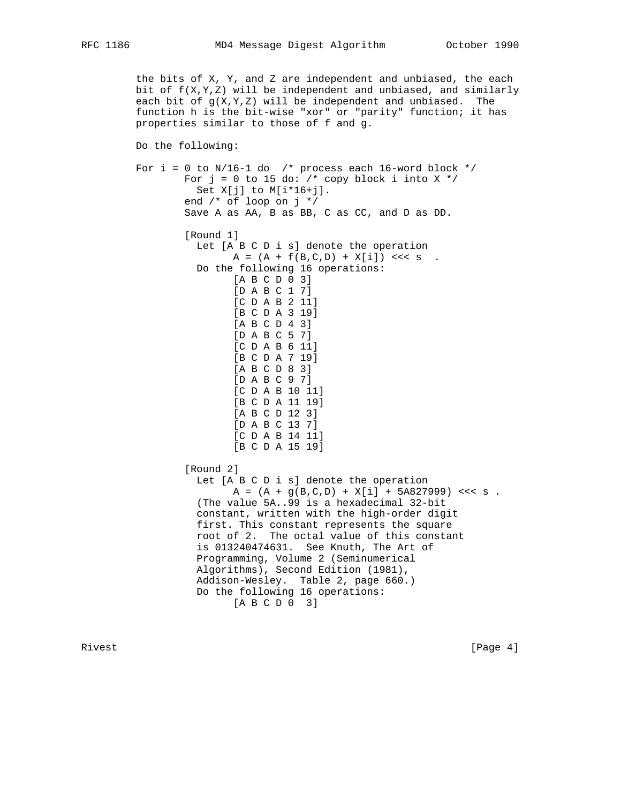```
 the bits of X, Y, and Z are independent and unbiased, the each
bit of f(X,Y,Z) will be independent and unbiased, and similarly
each bit of g(X,Y,Z) will be independent and unbiased. The
 function h is the bit-wise "xor" or "parity" function; it has
 properties similar to those of f and g.
 Do the following:
For i = 0 to N/16-1 do /* process each 16-word block */
        For j = 0 to 15 do: /* copy block i into X */
          Set X[j] to M[i*16+j].
         end /* of loop on j */
         Save A as AA, B as BB, C as CC, and D as DD.
         [Round 1]
           Let [A B C D i s] denote the operation
                A = (A + f(B, C, D) + X[i]) \iff S Do the following 16 operations:
                 [A B C D 0 3]
                 [D A B C 1 7]
                 [C D A B 2 11]
                 [B C D A 3 19]
                 [A B C D 4 3]
                 [D A B C 5 7]
                 [C D A B 6 11]
                 [B C D A 7 19]
                 [A B C D 8 3]
                 [D A B C 9 7]
                 [C D A B 10 11]
                 [B C D A 11 19]
                 [A B C D 12 3]
                 [D A B C 13 7]
                 [C D A B 14 11]
                 [B C D A 15 19]
         [Round 2]
           Let [A B C D i s] denote the operation
                A = (A + g(B, C, D) + X[i] + 5A827999) <<< s.
           (The value 5A..99 is a hexadecimal 32-bit
           constant, written with the high-order digit
           first. This constant represents the square
           root of 2. The octal value of this constant
           is 013240474631. See Knuth, The Art of
           Programming, Volume 2 (Seminumerical
           Algorithms), Second Edition (1981),
           Addison-Wesley. Table 2, page 660.)
```
 Do the following 16 operations: [A B C D 0 3]

Rivest [Page 4]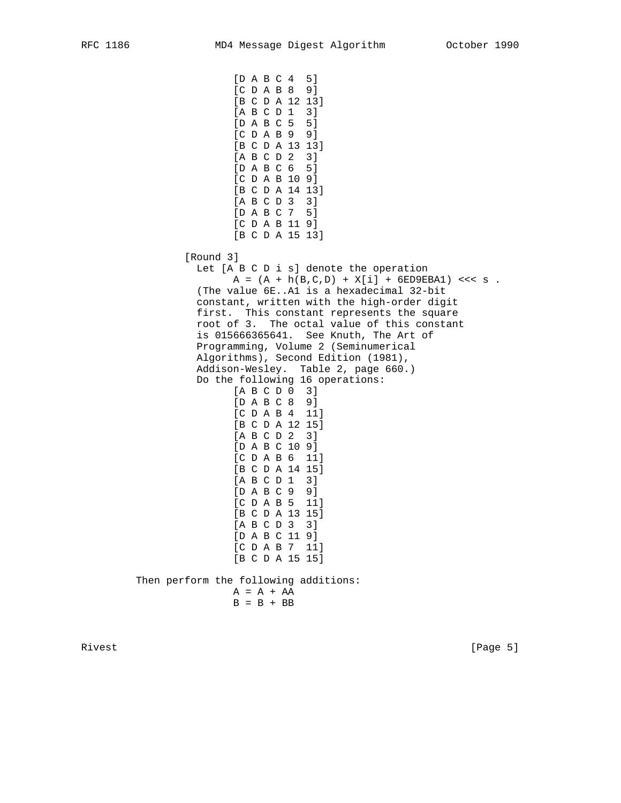[D A B C 4 5] [C D A B 8 9] [B C D A 12 13] [A B C D 1 3] [D A B C 5 5] [C D A B 9 9] [B C D A 13 13] [A B C D 2 3] [D A B C 6 5] [C D A B 10 9] [B C D A 14 13] [A B C D 3 3] [D A B C 7 5] [C D A B 11 9] [B C D A 15 13] [Round 3] Let [A B C D i s] denote the operation  $A = (A + h(B, C, D) + X[i] + 6ED9EBA1)$  <<< s. (The value 6E..A1 is a hexadecimal 32-bit constant, written with the high-order digit first. This constant represents the square root of 3. The octal value of this constant is 015666365641. See Knuth, The Art of Programming, Volume 2 (Seminumerical Algorithms), Second Edition (1981), Addison-Wesley. Table 2, page 660.) Do the following 16 operations: [A B C D 0 3] [D A B C 8 9] [C D A B 4 11] [B C D A 12 15] [A B C D 2 3] [D A B C 10 9] [C D A B 6 11] [B C D A 14 15] [A B C D 1 3] [D A B C 9 9] [C D A B 5 11] [B C D A 13 15] [A B C D 3 3] [D A B C 11 9] [C D A B 7 11] [B C D A 15 15] Then perform the following additions:  $A = A + AA$  $B = B + BB$ 

Rivest [Page 5]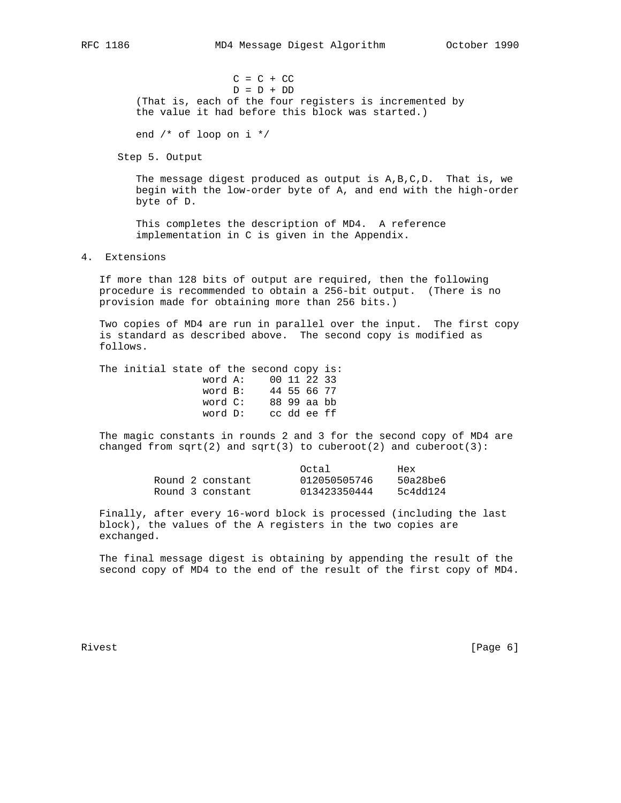$C = C + CC$  $\begin{array}{cccc} \mathbb{D} & = & \mathbb{D} & + & \mathbb{D} \mathbb{D} \end{array}$  (That is, each of the four registers is incremented by the value it had before this block was started.)

end /\* of loop on i \*/

Step 5. Output

 The message digest produced as output is A,B,C,D. That is, we begin with the low-order byte of A, and end with the high-order byte of D.

 This completes the description of MD4. A reference implementation in C is given in the Appendix.

## 4. Extensions

 If more than 128 bits of output are required, then the following procedure is recommended to obtain a 256-bit output. (There is no provision made for obtaining more than 256 bits.)

 Two copies of MD4 are run in parallel over the input. The first copy is standard as described above. The second copy is modified as follows.

The initial state of the second copy is: word A: 00 11 22 33 word B: 44 55 66 77 word C: 88 99 aa bb word D: cc dd ee ff

 The magic constants in rounds 2 and 3 for the second copy of MD4 are changed from  $sqrt(2)$  and  $sqrt(3)$  to cuberoot(2) and cuberoot(3):

|                  | Octal        | Hex      |
|------------------|--------------|----------|
| Round 2 constant | 012050505746 | 50a28be6 |
| Round 3 constant | 013423350444 | 5c4dd124 |

 Finally, after every 16-word block is processed (including the last block), the values of the A registers in the two copies are exchanged.

 The final message digest is obtaining by appending the result of the second copy of MD4 to the end of the result of the first copy of MD4.

Rivest [Page 6]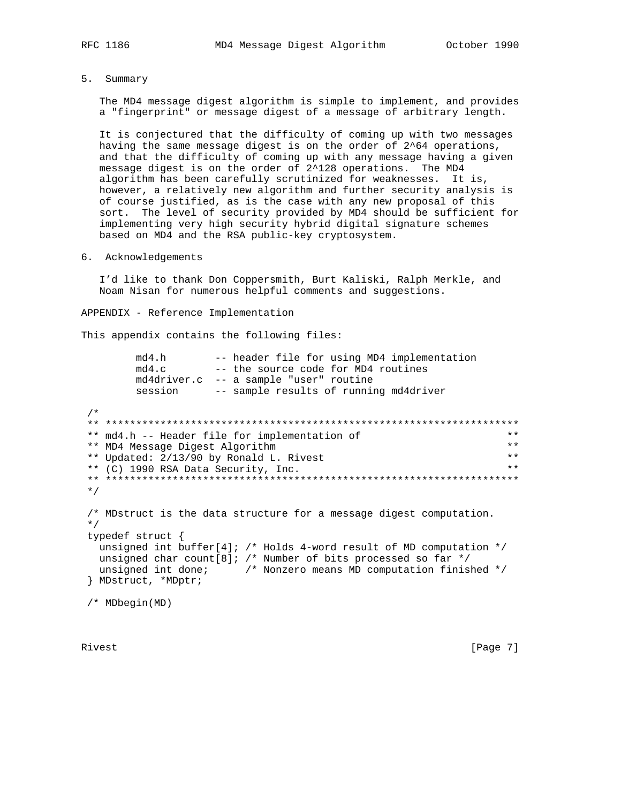5. Summary

The MD4 message digest algorithm is simple to implement, and provides a "fingerprint" or message digest of a message of arbitrary length.

It is conjectured that the difficulty of coming up with two messages having the same message digest is on the order of 2^64 operations, and that the difficulty of coming up with any message having a given message digest is on the order of 2^128 operations. The MD4 algorithm has been carefully scrutinized for weaknesses. It is, however, a relatively new algorithm and further security analysis is of course justified, as is the case with any new proposal of this sort. The level of security provided by MD4 should be sufficient for implementing very high security hybrid digital signature schemes based on MD4 and the RSA public-key cryptosystem.

6. Acknowledgements

I'd like to thank Don Coppersmith, Burt Kaliski, Ralph Merkle, and Noam Nisan for numerous helpful comments and suggestions.

APPENDIX - Reference Implementation

This appendix contains the following files:

```
-- header file for using MD4 implementation
      md4.h
      md4.c -- header the form while the two supposes
      md4driver.c -- a sample "user" routine
      session -- sample results of running md4driver
/*
** md4.h -- Header file for implementation of
                                                          **** MD4 Message Digest Algorithm
                                                          ***\star \star** Updated: 2/13/90 by Ronald L. Rivest
** (C) 1990 RSA Data Security, Inc.
                                                          * *^{\star} /
/* MDstruct is the data structure for a message digest computation.
\star /
typedef struct {
 unsigned int buffer[4]; /* Holds 4-word result of MD computation */
 unsigned char count[8]; /* Number of bits processed so far */
 unsigned int done; \sqrt{*} Nonzero means MD computation finished */} MDstruct, *MDptr;
/* MDbegin(MD)
```
Rivest

 $[Page 7]$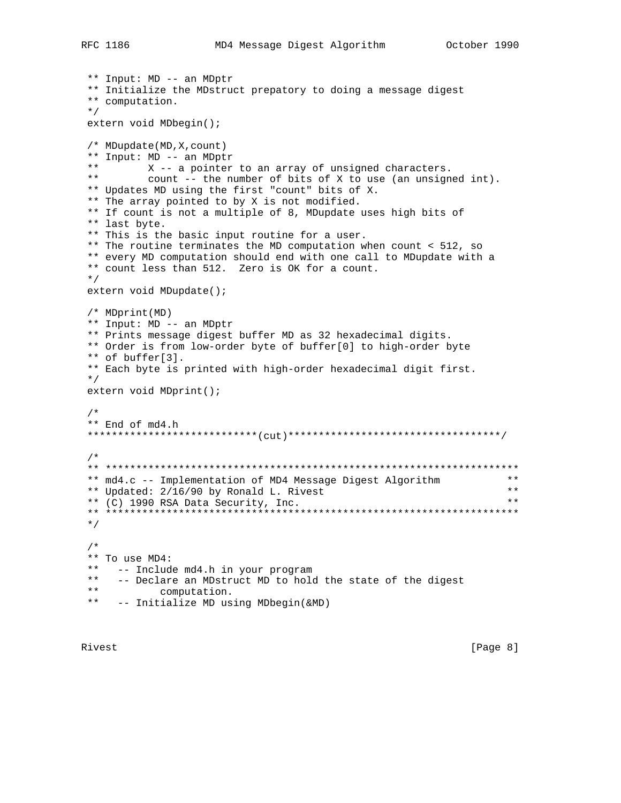```
** Input: MD -- an MDptr
** Initialize the MDstruct prepatory to doing a message digest
** computation.
\star /
extern void MDbegin();
/* MDupdate(MD, X, count)
** Input: MD -- an MDptr
***X -- a pointer to an array of unsigned characters.
\star \starcount -- the number of bits of X to use (an unsigned int).
** Updates MD using the first "count" bits of X.
** The array pointed to by X is not modified.
** If count is not a multiple of 8, MDupdate uses high bits of
** last byte.
** This is the basic input routine for a user.
** The routine terminates the MD computation when count < 512, so
** every MD computation should end with one call to MDupdate with a
** count less than 512. Zero is OK for a count.
\star /
extern void MDupdate();
/* MDprint(MD)** Input: MD -- an MDptr
** Prints message digest buffer MD as 32 hexadecimal digits.
** Order is from low-order byte of buffer[0] to high-order byte
** of buffer[3].
** Each byte is printed with high-order hexadecimal digit first.
\star /
extern void MDprint();
/*
** End of md4.h
/*
* *** md4.c -- Implementation of MD4 Message Digest Algorithm
** Updated: 2/16/90 by Ronald L. Rivest
                                                             \star \star**** (C) 1990 RSA Data Security, Inc.
\star /
/*
** To use MD4:
***-- Include md4.h in your program
\star \star-- Declare an MDstruct MD to hold the state of the digest
\star \starcomputation.
** -- Initialize MD using MDbegin(&MD)
```
Rivest

 $[Page 8]$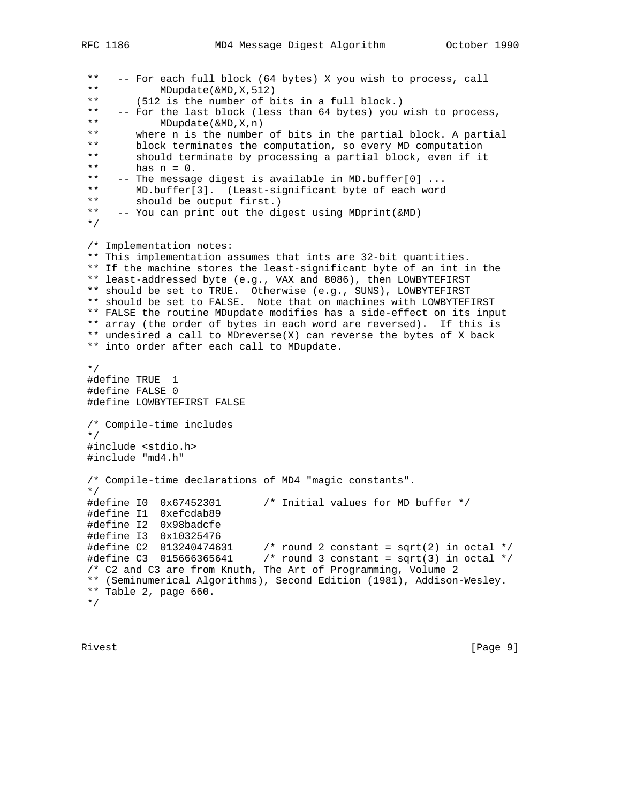```
 ** -- For each full block (64 bytes) X you wish to process, call
 ** MDupdate(&MD,X,512)
 ** (512 is the number of bits in a full block.)
** -- For the last block (less than 64 bytes) you wish to process,<br>** MDupdate(&MD.X.n)
 ** MDupdate(&MD,X,n)
** where n is the number of bits in the partial block. A partial<br>** block terminates the computation, so every MD computation
** block terminates the computation, so every MD computation<br>** should terminate by processing a partial block even if it
 ** should terminate by processing a partial block, even if it
** has n = 0.<br>** -- The message
 ** -- The message digest is available in MD.buffer[0] ...
 ** MD.buffer[3]. (Least-significant byte of each word
** should be output first.)<br>** -- You can print out the dia
     -- You can print out the digest using MDprint(&MD)
 */
 /* Implementation notes:
 ** This implementation assumes that ints are 32-bit quantities.
 ** If the machine stores the least-significant byte of an int in the
 ** least-addressed byte (e.g., VAX and 8086), then LOWBYTEFIRST
 ** should be set to TRUE. Otherwise (e.g., SUNS), LOWBYTEFIRST
 ** should be set to FALSE. Note that on machines with LOWBYTEFIRST
 ** FALSE the routine MDupdate modifies has a side-effect on its input
 ** array (the order of bytes in each word are reversed). If this is
 ** undesired a call to MDreverse(X) can reverse the bytes of X back
 ** into order after each call to MDupdate.
 */
 #define TRUE 1
 #define FALSE 0
 #define LOWBYTEFIRST FALSE
 /* Compile-time includes
 */
 #include <stdio.h>
 #include "md4.h"
 /* Compile-time declarations of MD4 "magic constants".
 */
 #define I0 0x67452301 /* Initial values for MD buffer */
 #define I1 0xefcdab89
 #define I2 0x98badcfe
 #define I3 0x10325476
#define C2 013240474631 /* round 2 constant = sqrt(2) in octal */
 #define C3 015666365641 /* round 3 constant = sqrt(3) in octal */
 /* C2 and C3 are from Knuth, The Art of Programming, Volume 2
 ** (Seminumerical Algorithms), Second Edition (1981), Addison-Wesley.
 ** Table 2, page 660.
 */
```
Rivest [Page 9]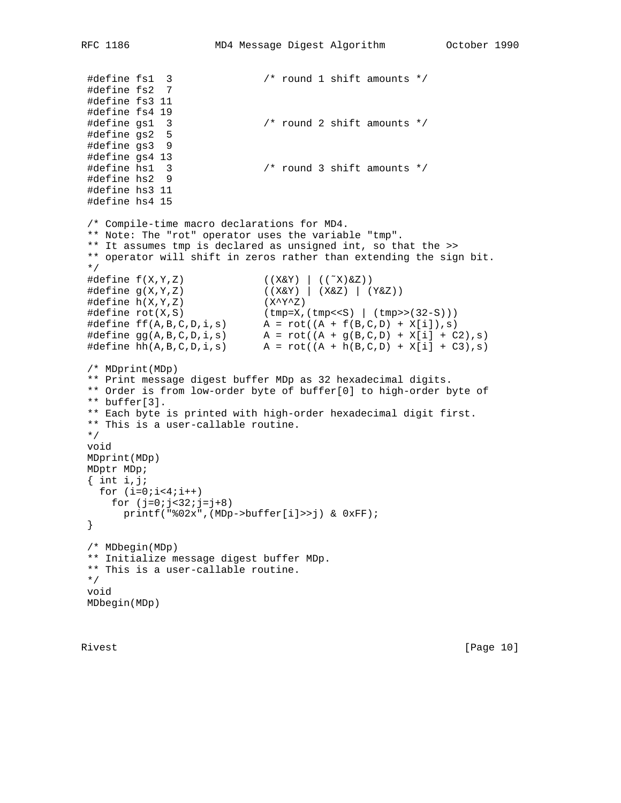```
 #define fs1 3 /* round 1 shift amounts */
 #define fs2 7
 #define fs3 11
 #define fs4 19
 #define gs1 3 /* round 2 shift amounts */
 #define gs2 5
 #define gs3 9
 #define gs4 13
 #define hs1 3 /* round 3 shift amounts */
 #define hs2 9
 #define hs3 11
 #define hs4 15
 /* Compile-time macro declarations for MD4.
 ** Note: The "rot" operator uses the variable "tmp".
 ** It assumes tmp is declared as unsigned int, so that the >>
 ** operator will shift in zeros rather than extending the sign bit.
 */
 #define f(X,Y,Z) ((X&Y) | ((˜X)&Z))
 #define g(X,Y,Z) ((X&Y) | (X&Z) | (Y&Z))
\#\text{define } h(X,Y,Z) (X^Y^Z)
\#\text{define rot}(X, S) (tmp=X,(tmp<<S) | (tmp>>(32-S)))
\#\text{define } ff(A,B,C,D,i,s)  A = rot((A + f(B,C,D) + X[i]),s)#define gg(A,B,C,D,i,s) A = rot((A + g(B,C,D) + X[i] + C2),s)#define hh(A,B,C,D,i,s) A = rot((A + h(B,C,D) + X[i] + C3),s) /* MDprint(MDp)
 ** Print message digest buffer MDp as 32 hexadecimal digits.
 ** Order is from low-order byte of buffer[0] to high-order byte of
 ** buffer[3].
 ** Each byte is printed with high-order hexadecimal digit first.
 ** This is a user-callable routine.
 */
 void
 MDprint(MDp)
 MDptr MDp;
\{ int i, j;
 for (i=0; i<4; i++)for (j=0; j<32; j=j+8) printf("%02x",(MDp->buffer[i]>>j) & 0xFF);
 }
 /* MDbegin(MDp)
 ** Initialize message digest buffer MDp.
 ** This is a user-callable routine.
 */
 void
 MDbegin(MDp)
```
Rivest [Page 10]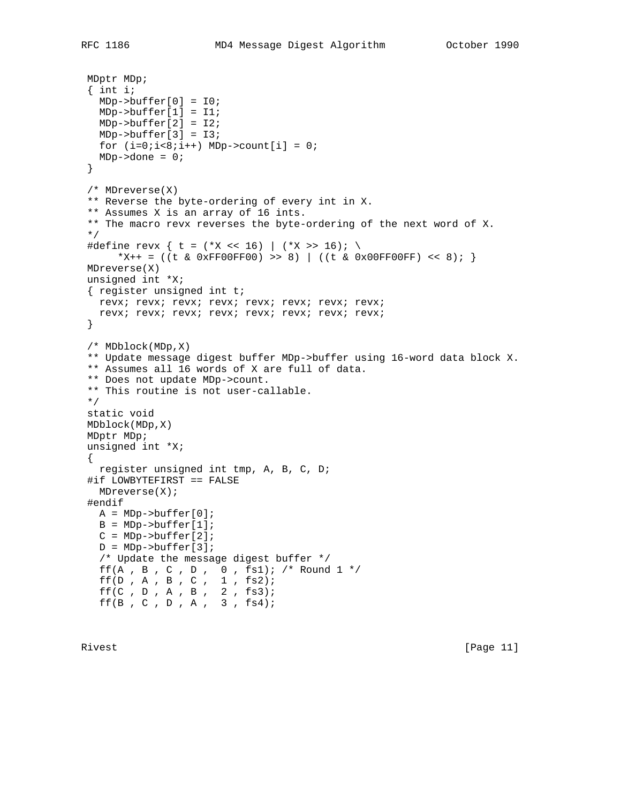```
 MDptr MDp;
 { int i;
  MDp->buffer[0] = I0;
  MDp->buffer[1] = I1;
  MDp->buffer[2] = I2;
  MDp->buffer[3] = I3;
 for (i=0:i<8:i++) MDp->count[i] = 0;
 MDp->done = 0;
 }
 /* MDreverse(X)
 ** Reverse the byte-ordering of every int in X.
 ** Assumes X is an array of 16 ints.
 ** The macro revx reverses the byte-ordering of the next word of X.
 */
#define revx { t = (*X << 16) | (*X >> 16); \
     *X++ = ((t & 0xFF00FF00) >> 8) | ((t & 0x00FF00FF) << 8); }
 MDreverse(X)
 unsigned int *X;
 { register unsigned int t;
  revx; revx; revx; revx; revx; revx; revx; revx;
  revx; revx; revx; revx; revx; revx; revx; revx;
 }
 /* MDblock(MDp,X)
 ** Update message digest buffer MDp->buffer using 16-word data block X.
 ** Assumes all 16 words of X are full of data.
 ** Does not update MDp->count.
 ** This routine is not user-callable.
 */
 static void
 MDblock(MDp,X)
 MDptr MDp;
 unsigned int *X;
\left\{ \right. register unsigned int tmp, A, B, C, D;
 #if LOWBYTEFIRST == FALSE
  MDreverse(X);
 #endif
 A = MDP - > buffer[0];B = MDP->buffer[1];C = MDP->buffer[2];D = MDP->buffer[3]; /* Update the message digest buffer */
  ff(A, B, C, D, 0, fs1); /* Round 1 */ff(D, A, B, C, 1, fs2);
```
 $ff(C, D, A, B, 2, fs3);$ ff(B , C , D , A ,  $3$  ,  $fs4$ );

Rivest [Page 11]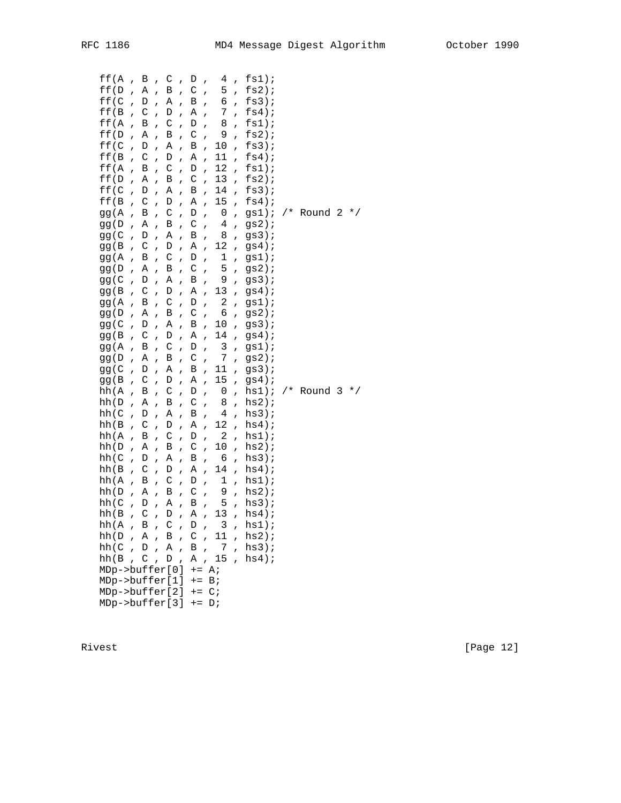| ff(A<br>ff(D)<br>ff(C<br>ff(B)<br>ff(A<br>ff(D)<br>ff(C<br>ff(B)<br>ff(A<br>ff(D)<br>ff(C<br>ff(B<br>gg (A<br>gg (D<br>gg ( C<br>gg (B<br>gg (A<br>gg (D<br>gg(C)<br>gg (B<br>gg (A<br>gg (D<br>gg (C<br>gg (B<br>gg (A<br>gg(D<br>gg (C<br>gg(B<br>hh(A<br>hh(D)<br>hh(C)<br>hh(B)<br>hh (A<br>hh(D)<br>hh(C)<br>hh(B)<br>hh(A)<br>hh(D)<br>hh(C<br>hh(B)<br>hh $(A, B, C, D, 3)$<br>hh(D, A, B, C,<br>hh(C, D, A,<br>hh(B, C, D, | $\overline{ }$<br>$\overline{ }$<br>$\overline{ }$<br>$\overline{ }$<br>$\mathbf{r}$<br>$\overline{1}$<br>$\overline{ }$<br>$\overline{1}$<br>$\overline{1}$<br>$\overline{1}$<br>$\overline{ }$<br>$\overline{ }$<br>$\overline{ }$<br>$\overline{ }$<br>$\overline{ }$<br>$\overline{ }$<br>$\mathbf{r}$<br>$\overline{ }$<br>$\overline{1}$<br>$\overline{1}$<br>$\overline{1}$<br>$\mathbf{r}$<br>$\mathbf{r}$<br>$\overline{ }$<br>$\overline{ }$<br>$\overline{ }$<br>$\overline{ }$<br>$\overline{ }$<br>$\overline{ }$<br>$\overline{1}$<br>$\overline{1}$<br>$\overline{1}$<br>$\overline{1}$<br>$\overline{1}$<br>$\overline{ }$<br>$\overline{ }$<br>$\overline{ }$<br>$\overline{1}$<br>$\overline{ }$<br>$\overline{ }$ | В<br>Α<br>D<br>C<br>В<br>Α<br>D<br>C<br>B<br>Α<br>D<br>$\mathsf C$<br>B<br>Α<br>D<br>C<br>Β<br>Α<br>D<br>C<br>B<br>Α<br>D<br>$\mathsf C$<br>B<br>Α<br>D<br>C<br>Β<br>A<br>D<br>C<br>B<br>Α<br>D<br>$\mathsf C$<br>B<br>Α<br>D<br>C | $\mathbf{r}$<br>$\overline{ }$<br>$\overline{ }$<br>$\overline{ }$<br>$\overline{ }$<br>$\overline{ }$<br>$\overline{1}$<br>$\overline{ }$<br>$\overline{ }$<br>$\overline{ }$<br>$\overline{ }$<br>$\overline{ }$<br>$\overline{ }$<br>$\overline{ }$<br>$\overline{ }$<br>$\mathbf{r}$<br>$\overline{ }$<br>$\overline{ }$<br>$\overline{ }$<br>$\overline{ }$<br>$\overline{1}$<br>$\overline{\phantom{a}}$<br>$\overline{ }$<br>$\overline{ }$<br>$\overline{ }$<br>$\overline{ }$<br>$\overline{ }$<br>$\mathbf{r}$<br>$\overline{ }$<br>$\overline{ }$<br>$\overline{1}$<br>$\overline{ }$<br>$\overline{ }$<br>$\overline{ }$<br>$\mathbf{r}$<br>$\overline{ }$<br>$\overline{ }$<br>$\overline{ }$<br>$\overline{ }$<br>$\overline{ }$ | C<br>$\, {\bf B}$<br>Α<br>D<br>C<br>$\, {\bf B}$<br>Α<br>D<br>$\mathsf C$<br>В<br>Α<br>$\mathbb D$<br>$\mathsf C$<br>В<br>Α<br>D<br>C<br>$\, {\bf B}$<br>$\, {\bf A}$<br>D<br>$\mathsf C$<br>В<br>Α<br>$\mathbb D$<br>$\mathsf C$<br>В<br>Α<br>D<br>C<br>$\, {\bf B}$<br>Α<br>D<br>$\mathsf C$<br>Β<br>Α<br>D<br>$\mathsf C$<br>В<br>Α<br>D | $\overline{ }$<br>$\overline{1}$<br>$\overline{ }$<br>$\overline{ }$<br>$\overline{ }$<br>$\overline{ }$<br>$\overline{1}$<br>$\overline{1}$<br>$\overline{ }$<br>$\overline{ }$<br>$\mathbf{r}$<br>$\overline{ }$<br>$\overline{ }$<br>$\overline{ }$<br>$\mathbf{r}$<br>$\mathbf{r}$<br>$\overline{ }$<br>$\overline{ }$<br>$\overline{ }$<br>$\overline{ }$<br>$\overline{ }$<br>$\overline{ }$<br>$\mathbf{r}$<br>$\overline{ }$<br>$\overline{ }$<br>$\overline{1}$<br>$\mathbf{r}$<br>$\mathbf{r}$<br>$\overline{1}$<br>$\overline{ }$<br>$\overline{1}$<br>$\overline{1}$<br>$\overline{ }$<br>$\overline{ }$<br>$\overline{ }$<br>$\overline{ }$<br>$\overline{1}$<br>$\overline{1}$<br>$\overline{ }$<br>$\overline{1}$ | D<br>C<br>B<br>Α<br>D<br>$\mathsf{C}$<br>B<br>А<br>D<br>$\rm C$<br>В<br>Α<br>D<br>$\mathsf C$<br>B<br>Α<br>D<br>$\mathsf C$<br>$\, {\bf B}$<br>А<br>D<br>$\rm C$<br>B<br>Α<br>D<br>$\mathsf C$<br>B<br>Α<br>D<br>$\mathsf{C}$<br>$\, {\bf B}$<br>А<br>D<br>$\mathsf C$<br>B<br>Α<br>D<br>C<br>B<br>Α<br>$\mathbf{B}$ | $\overline{ }$<br>$\overline{ }$<br>$\overline{ }$<br>$\overline{1}$<br>$\overline{1}$<br>$\overline{1}$<br>$\overline{1}$<br>$\overline{ }$<br>$\mathbf{r}$<br>$\overline{ }$<br>$\overline{ }$<br>$\overline{1}$<br>$\overline{1}$<br>$\overline{1}$<br>$\overline{ }$<br>$\overline{ }$<br>$\overline{ }$<br>$\overline{1}$<br>$\overline{1}$<br>$\overline{ }$<br>$\mathbf{r}$<br>$\overline{ }$<br>$\overline{1}$<br>$\overline{ }$<br>$\overline{1}$<br>$\overline{1}$<br>$\mathbf{r}$<br>$\overline{ }$<br>$\overline{ }$<br>$\overline{1}$<br>$\overline{1}$<br>$\overline{1}$<br>$\overline{ }$<br>$\overline{ }$<br>$\mathbf{r}$<br>$\overline{ }$<br>$\overline{1}$<br>$\overline{ }$<br>$\overline{1}$<br>$\overline{ }$ | 4<br>5<br>б<br>7<br>8<br>9<br>$10$<br>11<br>12<br>13<br>14<br>15<br>0<br>4<br>8<br>12<br>$\mathbf 1$<br>5<br>9<br>13<br>$\overline{\mathbf{c}}$<br>6<br>10<br>14<br>3<br>7<br>11<br>15<br>0<br>8<br>4<br>12<br>2<br>10<br>6<br>14<br>$\mathbf 1$<br>9<br>5<br>13<br>11<br>, 7<br>A, 15 | $\mathbf{r}$<br>$\mathbf{r}$<br>$\mathbf{r}$<br>$\mathbf{r}$<br>$\mathbf{r}$<br>$\mathbf{r}$<br>$\overline{ }$<br>$\overline{1}$<br>$\mathbf{r}$<br>$\mathbf{r}$<br>$\mathbf{r}$<br>$\mathbf{r}$<br>$\mathbf{r}$<br>$\mathbf{r}$<br>$\mathbf{r}$<br>$\mathbf{r}$<br>$\mathbf{r}$<br>$\mathbf{r}$<br>$\mathbf{r}$<br>$\mathbf{r}$<br>$\mathbf{r}$<br>$\mathbf{r}$<br>$\mathbf{r}$<br>$\mathbf{r}$<br>$\mathbf{r}$<br>$\mathbf{r}$<br>$\mathbf{r}$<br>$\mathbf{r}$<br>$\mathbf{r}$<br>$\mathbf{r}$<br>$\overline{ }$<br>$\mathbf{r}$<br>$\mathbf{r}$<br>$\mathbf{r}$<br>$\mathbf{r}$<br>$\mathbf{r}$<br>$\overline{ }$<br>$\mathbf{r}$<br>$\mathbf{r}$<br>$\overline{1}$<br>$\mathbf{r}$<br>$\overline{ }$ | fs1);<br>fs2);<br>$f s 3)$ ;<br>$fs4)$ ;<br>fs1);<br>fs2);<br>$f s 3)$ ;<br>$f\,s4$ ) $\!$<br>fs1);<br>fs2);<br>$f s 3)$ ;<br>$fs4)$ ;<br>gs1);<br>gs2);<br>gs3);<br>$gs4)$ ;<br>gs1);<br>$gs2)$ ;<br>$gs3)$ ;<br>$gs4)$ ;<br>gs1);<br>$gs2)$ ;<br>gs3);<br>$gs4)$ ;<br>$gs1)$ ;<br>$gs2)$ ;<br>gs3);<br>$gs4)$ ;<br>$hs1$ );<br>$hs2)$ ;<br>$hs3)$ ;<br>$hs4)$ ;<br>$hs1$ );<br>hs2;<br>hs3);<br>$hs4)$ ;<br>$hs1$ );<br>$hs2)$ ;<br>$hs3)$ ;<br>$hs4)$ ;<br>, $hs1$ );<br>, $hs2)$ ;<br>$hs3)$ ;<br>$hs4)$ ; | /* Round<br>/* Round 3 | 2 | $\star$ /<br>$\star$ / |  |
|------------------------------------------------------------------------------------------------------------------------------------------------------------------------------------------------------------------------------------------------------------------------------------------------------------------------------------------------------------------------------------------------------------------------------------|--------------------------------------------------------------------------------------------------------------------------------------------------------------------------------------------------------------------------------------------------------------------------------------------------------------------------------------------------------------------------------------------------------------------------------------------------------------------------------------------------------------------------------------------------------------------------------------------------------------------------------------------------------------------------------------------------------------------------------------|------------------------------------------------------------------------------------------------------------------------------------------------------------------------------------------------------------------------------------|------------------------------------------------------------------------------------------------------------------------------------------------------------------------------------------------------------------------------------------------------------------------------------------------------------------------------------------------------------------------------------------------------------------------------------------------------------------------------------------------------------------------------------------------------------------------------------------------------------------------------------------------------------------------------------------------------------------------------------------------|---------------------------------------------------------------------------------------------------------------------------------------------------------------------------------------------------------------------------------------------------------------------------------------------------------------------------------------------|----------------------------------------------------------------------------------------------------------------------------------------------------------------------------------------------------------------------------------------------------------------------------------------------------------------------------------------------------------------------------------------------------------------------------------------------------------------------------------------------------------------------------------------------------------------------------------------------------------------------------------------------------------------------------------------------------------------------------------|----------------------------------------------------------------------------------------------------------------------------------------------------------------------------------------------------------------------------------------------------------------------------------------------------------------------|--------------------------------------------------------------------------------------------------------------------------------------------------------------------------------------------------------------------------------------------------------------------------------------------------------------------------------------------------------------------------------------------------------------------------------------------------------------------------------------------------------------------------------------------------------------------------------------------------------------------------------------------------------------------------------------------------------------------------------------|----------------------------------------------------------------------------------------------------------------------------------------------------------------------------------------------------------------------------------------------------------------------------------------|----------------------------------------------------------------------------------------------------------------------------------------------------------------------------------------------------------------------------------------------------------------------------------------------------------------------------------------------------------------------------------------------------------------------------------------------------------------------------------------------------------------------------------------------------------------------------------------------------------------------------------------------------------------------------------------------------------|----------------------------------------------------------------------------------------------------------------------------------------------------------------------------------------------------------------------------------------------------------------------------------------------------------------------------------------------------------------------------------------------------------------------------------------------------------------------------------------------------------------|------------------------|---|------------------------|--|
| MDp->buffer[0]                                                                                                                                                                                                                                                                                                                                                                                                                     |                                                                                                                                                                                                                                                                                                                                                                                                                                                                                                                                                                                                                                                                                                                                      |                                                                                                                                                                                                                                    |                                                                                                                                                                                                                                                                                                                                                                                                                                                                                                                                                                                                                                                                                                                                                |                                                                                                                                                                                                                                                                                                                                             |                                                                                                                                                                                                                                                                                                                                                                                                                                                                                                                                                                                                                                                                                                                                  | $+=$ A;                                                                                                                                                                                                                                                                                                              |                                                                                                                                                                                                                                                                                                                                                                                                                                                                                                                                                                                                                                                                                                                                      |                                                                                                                                                                                                                                                                                        |                                                                                                                                                                                                                                                                                                                                                                                                                                                                                                                                                                                                                                                                                                          |                                                                                                                                                                                                                                                                                                                                                                                                                                                                                                                |                        |   |                        |  |
| MDp->buffer[1]                                                                                                                                                                                                                                                                                                                                                                                                                     |                                                                                                                                                                                                                                                                                                                                                                                                                                                                                                                                                                                                                                                                                                                                      |                                                                                                                                                                                                                                    |                                                                                                                                                                                                                                                                                                                                                                                                                                                                                                                                                                                                                                                                                                                                                |                                                                                                                                                                                                                                                                                                                                             |                                                                                                                                                                                                                                                                                                                                                                                                                                                                                                                                                                                                                                                                                                                                  | $+=$ B;                                                                                                                                                                                                                                                                                                              |                                                                                                                                                                                                                                                                                                                                                                                                                                                                                                                                                                                                                                                                                                                                      |                                                                                                                                                                                                                                                                                        |                                                                                                                                                                                                                                                                                                                                                                                                                                                                                                                                                                                                                                                                                                          |                                                                                                                                                                                                                                                                                                                                                                                                                                                                                                                |                        |   |                        |  |
| $MDp->buffer[2] += C;$                                                                                                                                                                                                                                                                                                                                                                                                             |                                                                                                                                                                                                                                                                                                                                                                                                                                                                                                                                                                                                                                                                                                                                      |                                                                                                                                                                                                                                    |                                                                                                                                                                                                                                                                                                                                                                                                                                                                                                                                                                                                                                                                                                                                                |                                                                                                                                                                                                                                                                                                                                             |                                                                                                                                                                                                                                                                                                                                                                                                                                                                                                                                                                                                                                                                                                                                  |                                                                                                                                                                                                                                                                                                                      |                                                                                                                                                                                                                                                                                                                                                                                                                                                                                                                                                                                                                                                                                                                                      |                                                                                                                                                                                                                                                                                        |                                                                                                                                                                                                                                                                                                                                                                                                                                                                                                                                                                                                                                                                                                          |                                                                                                                                                                                                                                                                                                                                                                                                                                                                                                                |                        |   |                        |  |
|                                                                                                                                                                                                                                                                                                                                                                                                                                    |                                                                                                                                                                                                                                                                                                                                                                                                                                                                                                                                                                                                                                                                                                                                      |                                                                                                                                                                                                                                    |                                                                                                                                                                                                                                                                                                                                                                                                                                                                                                                                                                                                                                                                                                                                                |                                                                                                                                                                                                                                                                                                                                             |                                                                                                                                                                                                                                                                                                                                                                                                                                                                                                                                                                                                                                                                                                                                  |                                                                                                                                                                                                                                                                                                                      |                                                                                                                                                                                                                                                                                                                                                                                                                                                                                                                                                                                                                                                                                                                                      |                                                                                                                                                                                                                                                                                        |                                                                                                                                                                                                                                                                                                                                                                                                                                                                                                                                                                                                                                                                                                          |                                                                                                                                                                                                                                                                                                                                                                                                                                                                                                                |                        |   |                        |  |
| $MDp->buffer[3] += Di$                                                                                                                                                                                                                                                                                                                                                                                                             |                                                                                                                                                                                                                                                                                                                                                                                                                                                                                                                                                                                                                                                                                                                                      |                                                                                                                                                                                                                                    |                                                                                                                                                                                                                                                                                                                                                                                                                                                                                                                                                                                                                                                                                                                                                |                                                                                                                                                                                                                                                                                                                                             |                                                                                                                                                                                                                                                                                                                                                                                                                                                                                                                                                                                                                                                                                                                                  |                                                                                                                                                                                                                                                                                                                      |                                                                                                                                                                                                                                                                                                                                                                                                                                                                                                                                                                                                                                                                                                                                      |                                                                                                                                                                                                                                                                                        |                                                                                                                                                                                                                                                                                                                                                                                                                                                                                                                                                                                                                                                                                                          |                                                                                                                                                                                                                                                                                                                                                                                                                                                                                                                |                        |   |                        |  |

Rivest [Page 12]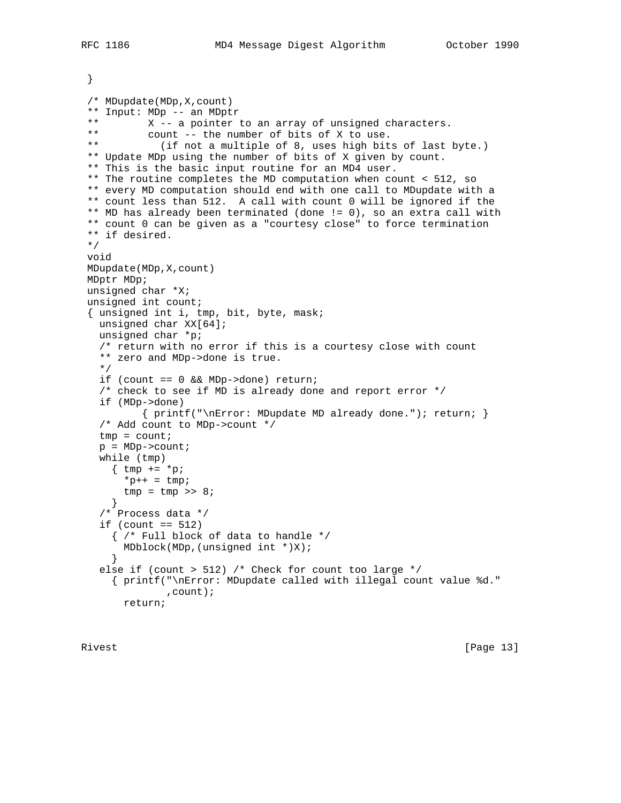```
 }
 /* MDupdate(MDp,X,count)
** Input: MDp -- an MDptr<br>** X - a pointer
** X -- a pointer to an array of unsigned characters.<br>** Count -- the number of bits of X to use
** count -- the number of bits of X to use.<br>** (if not a multiple of 8 uses bigh bit
             (if not a multiple of 8, uses high bits of last byte.)
 ** Update MDp using the number of bits of X given by count.
 ** This is the basic input routine for an MD4 user.
 ** The routine completes the MD computation when count < 512, so
 ** every MD computation should end with one call to MDupdate with a
 ** count less than 512. A call with count 0 will be ignored if the
 ** MD has already been terminated (done != 0), so an extra call with
 ** count 0 can be given as a "courtesy close" to force termination
 ** if desired.
 */
 void
 MDupdate(MDp,X,count)
 MDptr MDp;
 unsigned char *X;
 unsigned int count;
 { unsigned int i, tmp, bit, byte, mask;
  unsigned char XX[64];
   unsigned char *p;
   /* return with no error if this is a courtesy close with count
   ** zero and MDp->done is true.
   */
   if (count == 0 && MDp->done) return;
   /* check to see if MD is already done and report error */
   if (MDp->done)
           { printf("\nError: MDupdate MD already done."); return; }
   /* Add count to MDp->count */
  tmp = count;p = MDP->count; while (tmp)
   \{ \text{tmp} = *p \}*_{p++} = \text{tmp};tmp = tmp \gg 8; }
   /* Process data */
  if (count == 512)
     { /* Full block of data to handle */
       MDblock(MDp,(unsigned int *)X);
     }
   else if (count > 512) /* Check for count too large */
     { printf("\nError: MDupdate called with illegal count value %d."
               ,count);
```

```
 return;
```
Rivest [Page 13]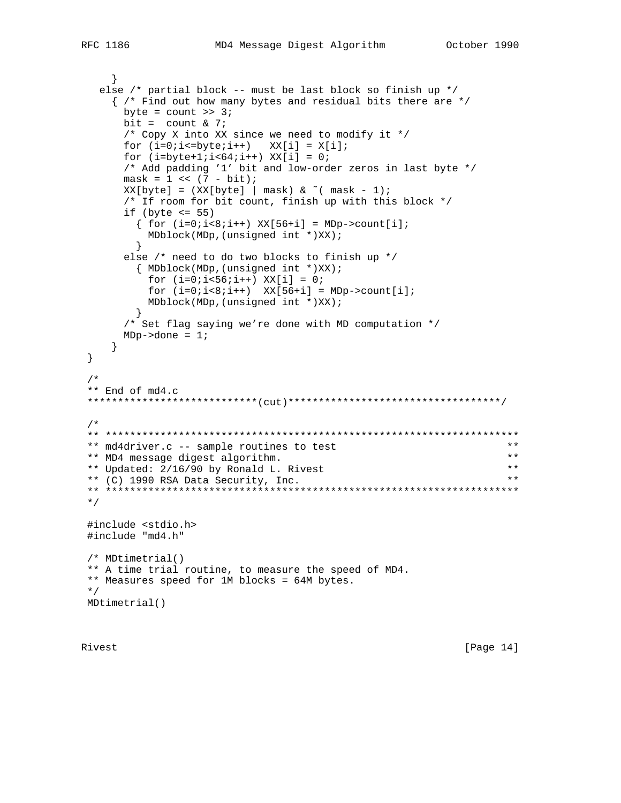```
else /* partial block -- must be last block so finish up */
```

```
{ /* Find out how many bytes and residual bits there are */
     byte = count \gg 3;
     bit = count & 7;
     /* Copy X into XX since we need to modify it */
     for (i=0:i<=byte:i++) XX[i] = X[i];for (i=byte+1:i<64:i++) XX[i] = 0:/* Add padding '1' bit and low-order zeros in last byte */
     mask = 1 \le (7 - bit);XX[byte] = (XX[byte] | mask) & (mask - 1);/* If room for bit count, finish up with this block */
     if (byte \le 55)
      \{ for (i=0:i<8:i++) XX[56+i] = MDP > count[i];MDblock(MDP, (unsigned int *) XX);\}else /* need to do two blocks to finish up */
       { MDblock(MDp, (unsigned int *)XX);
        for (i=0:i<56:i++) XX[i] = 0;for (i=0:i<8:i++ XX[56+i] = MDP - \text{zount}[i];MDblock(MDP, (unsigned int *) XX);\}/* Set flag saying we're done with MD computation */
     MDp->done = 1;\}\}/*
** End of md4.c
/ *
** md4driver.c -- sample routines to test
                                                            ***\star \star** MD4 message digest algorithm.
                                                           * *** Updated: 2/16/90 by Ronald L. Rivest
** (C) 1990 RSA Data Security, Inc.
                                                           * *\star /
#include <stdio.h>
#include "md4.h"
/* MDtimetrial()
** A time trial routine, to measure the speed of MD4.
** Measures speed for 1M blocks = 64M bytes.
\star /
MDtimetrial()
```
Rivest

[Page  $14$ ]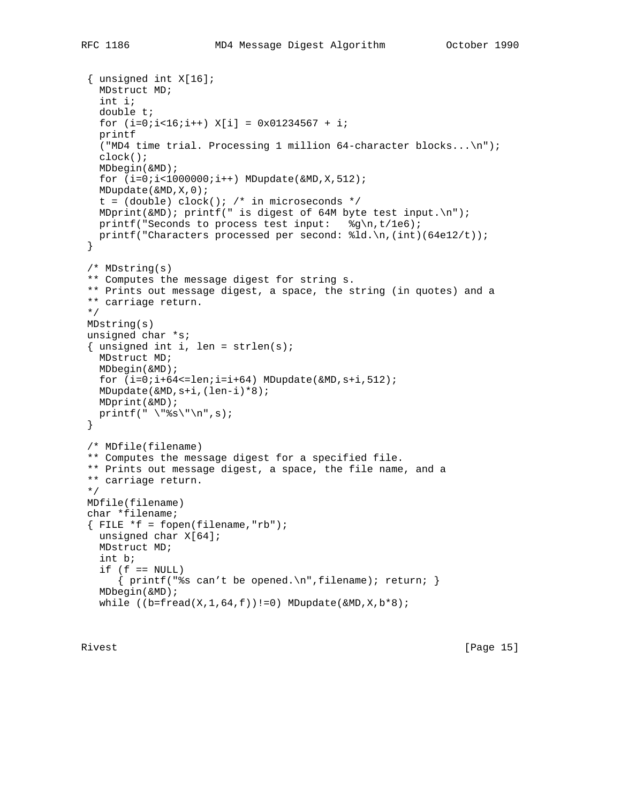```
 { unsigned int X[16];
   MDstruct MD;
   int i;
   double t;
  for (i=0:i<16:i++) X[i] = 0x01234567 + i; printf
  ("MD4 time trial. Processing 1 million 64-character blocks...\n\cdot \cdot \cdot;
   clock();
   MDbegin(&MD);
  for (i=0,i<1000000(i++) MDupdate(&MD, X, 512);
   MDupdate(&MD,X,0);
  t = (double) clock(); /* in microseconds */
  MDprint(\&MD); printf(" is digest of 64M byte test input.\n");
  printf("Seconds to process test input: \frac{2}{\pi},t/1e6);
   printf("Characters processed per second: %ld.\n,(int)(64e12/t));
 }
 /* MDstring(s)
 ** Computes the message digest for string s.
 ** Prints out message digest, a space, the string (in quotes) and a
 ** carriage return.
 */
 MDstring(s)
 unsigned char *s;
{ unsigned int i, len = strlen(s);
   MDstruct MD;
   MDbegin(&MD);
  for (i=0:i+64<=len:i=i+64) MDupdate(&MD, s+i, 512);
   MDupdate(&MD,s+i,(len-i)*8);
  MDprint(&MD);
 printf("\"%s\"\n",s);
 }
 /* MDfile(filename)
 ** Computes the message digest for a specified file.
 ** Prints out message digest, a space, the file name, and a
 ** carriage return.
 */
 MDfile(filename)
 char *filename;
{ FILE *f = fopen(filename,"rb");
   unsigned char X[64];
   MDstruct MD;
   int b;
  if (f == NULL)\{ printf("s can't be opened.)n", filename); return; \} MDbegin(&MD);
  while ((b=fred(X,1,64,f))!=0) MDupdate(\&MD, X, b*8);
```
Rivest [Page 15]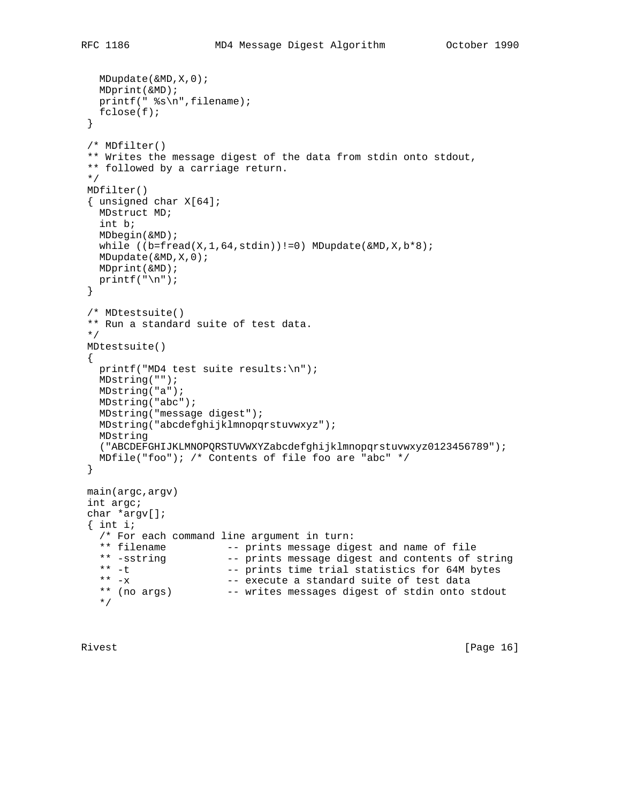```
 MDupdate(&MD,X,0);
   MDprint(&MD);
   printf(" %s\n",filename);
   fclose(f);
 }
 /* MDfilter()
 ** Writes the message digest of the data from stdin onto stdout,
 ** followed by a carriage return.
 */
 MDfilter()
 { unsigned char X[64];
  MDstruct MD;
   int b;
   MDbegin(&MD);
  while ((b=fred(X,1,64,stdin))!=0) MDupdate(\&MD,X,b*8); MDupdate(&MD,X,0);
  MDprint(&MD);
 printf("n");
 }
 /* MDtestsuite()
 ** Run a standard suite of test data.
 */
 MDtestsuite()
\left\{ \right. printf("MD4 test suite results:\n");
   MDstring("");
  MDstring("a");
   MDstring("abc");
   MDstring("message digest");
   MDstring("abcdefghijklmnopqrstuvwxyz");
   MDstring
   ("ABCDEFGHIJKLMNOPQRSTUVWXYZabcdefghijklmnopqrstuvwxyz0123456789");
  MDfile("foo"); /* Contents of file foo are "abc" */
 }
 main(argc,argv)
 int argc;
 char *argv[];
\{ int i;
   /* For each command line argument in turn:
  ** filename -- prints message digest and name of file<br>** -sstring -- prints message digest and contents of :
  ** -sstring -- prints message digest and contents of string<br>** -t -- prints time trial statistics for 64M bytes
                        -- prints time trial statistics for 64M bytes
  ** -x --- execute a standard suite of test data
   ** (no args) -- writes messages digest of stdin onto stdout
   */
```
Rivest [Page 16]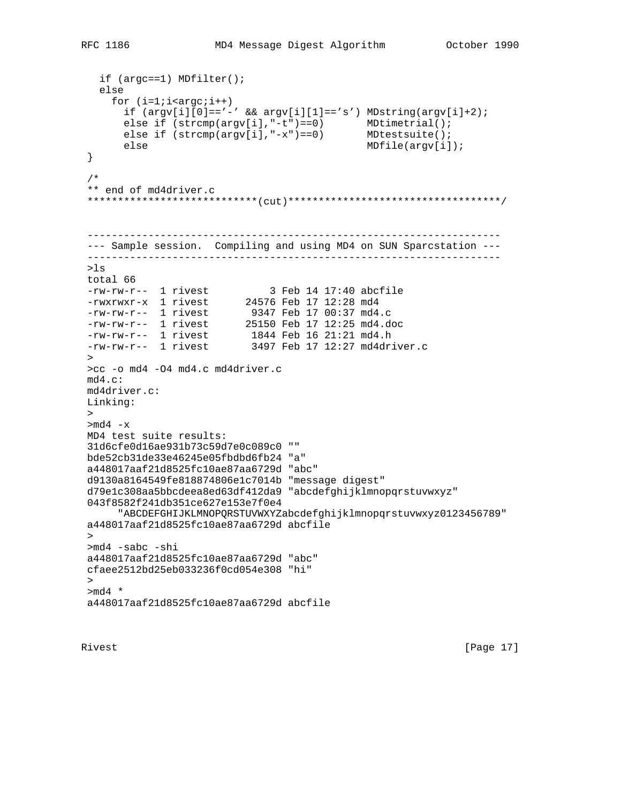```
 if (argc==1) MDfilter();
   else
    for (i=1;i < argc;i++)if (\argv[i][0]=-'-' \& \argv[i][1]=-'s') \text{ MDstring}(\argv[i]+2);else if (strcmp(argv[i],"-t")==0) MDtimetrial();
else if (strcmp(argv[i],"-x")==0) MDtestsuite();
       else MDfile(argv[i]);
 }
 /*
 ** end of md4driver.c
 ****************************(cut)***********************************/
 --------------------------------------------------------------------
 --- Sample session. Compiling and using MD4 on SUN Sparcstation ---
 --------------------------------------------------------------------
 >ls
 total 66
-rw-rw-r-- 1 rivest 3 Feb 14 17:40 abcfile
 -rwxrwxr-x 1 rivest 24576 Feb 17 12:28 md4
-rw-rw-r-- 1 rivest 9347 Feb 17 00:37 md4.c
 -rw-rw-r-- 1 rivest 25150 Feb 17 12:25 md4.doc
-rw-rw-r-- 1 rivest 1844 Feb 16 21:21 md4.h
-rw-rw-r-- 1 rivest 3497 Feb 17 12:27 md4driver.c
 >
 >cc -o md4 -O4 md4.c md4driver.c
 md4.c:
 md4driver.c:
 Linking:
\geq>md4 -x MD4 test suite results:
 31d6cfe0d16ae931b73c59d7e0c089c0 ""
 bde52cb31de33e46245e05fbdbd6fb24 "a"
 a448017aaf21d8525fc10ae87aa6729d "abc"
 d9130a8164549fe818874806e1c7014b "message digest"
 d79e1c308aa5bbcdeea8ed63df412da9 "abcdefghijklmnopqrstuvwxyz"
 043f8582f241db351ce627e153e7f0e4
      "ABCDEFGHIJKLMNOPQRSTUVWXYZabcdefghijklmnopqrstuvwxyz0123456789"
 a448017aaf21d8525fc10ae87aa6729d abcfile
\rightarrow >md4 -sabc -shi
 a448017aaf21d8525fc10ae87aa6729d "abc"
 cfaee2512bd25eb033236f0cd054e308 "hi"
\geq>md4 *
 a448017aaf21d8525fc10ae87aa6729d abcfile
```
Rivest [Page 17]